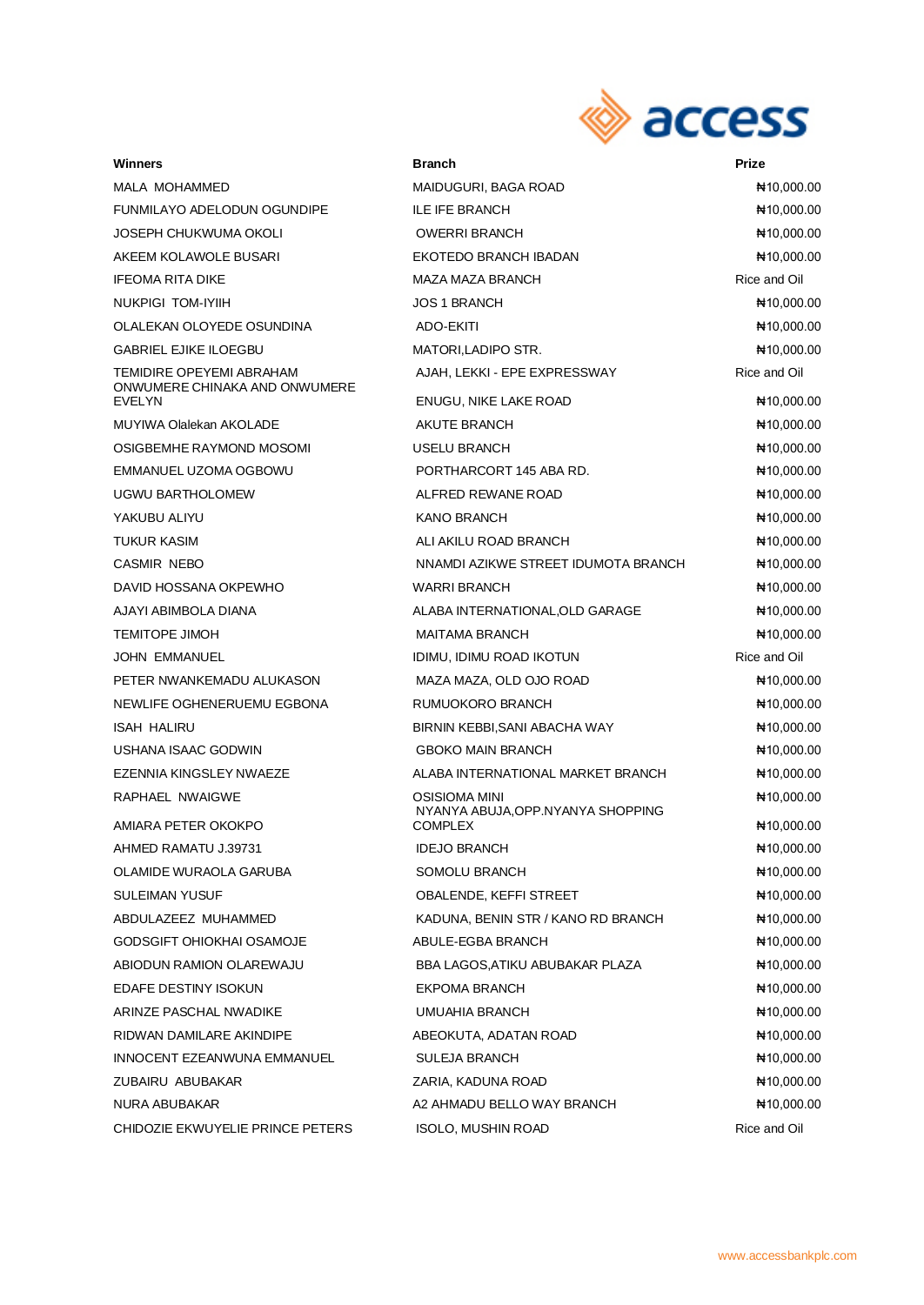

| Winners                                                             | <b>Branch</b>                                         | Prize                      |
|---------------------------------------------------------------------|-------------------------------------------------------|----------------------------|
| MALA MOHAMMED                                                       | MAIDUGURI, BAGA ROAD                                  | ₦10,000.00                 |
| FUNMILAYO ADELODUN OGUNDIPE                                         | <b>ILE IFE BRANCH</b>                                 | ₦10,000.00                 |
| JOSEPH CHUKWUMA OKOLI                                               | <b>OWERRI BRANCH</b>                                  | ₦10,000.00                 |
| AKEEM KOLAWOLE BUSARI                                               | EKOTEDO BRANCH IBADAN                                 | ₦10,000.00                 |
| IFEOMA RITA DIKE                                                    | MAZA MAZA BRANCH                                      | Rice and Oil               |
| NUKPIGI TOM-IYIIH                                                   | <b>JOS 1 BRANCH</b>                                   | ₦10,000.00                 |
| OLALEKAN OLOYEDE OSUNDINA                                           | ADO-EKITI                                             | ₦10,000.00                 |
| GABRIEL EJIKE ILOEGBU                                               | MATORI,LADIPO STR.                                    | ₦10,000.00                 |
| TEMIDIRE OPEYEMI ABRAHAM<br>ONWUMERE CHINAKA AND ONWUMERE<br>EVELYN | AJAH, LEKKI - EPE EXPRESSWAY<br>ENUGU, NIKE LAKE ROAD | Rice and Oil<br>₦10,000.00 |
| MUYIWA Olalekan AKOLADE                                             | AKUTE BRANCH                                          | ₦10,000.00                 |
| OSIGBEMHE RAYMOND MOSOMI                                            | USELU BRANCH                                          | ₦10,000.00                 |
| EMMANUEL UZOMA OGBOWU                                               | PORTHARCORT 145 ABA RD.                               | ₦10,000.00                 |
| UGWU BARTHOLOMEW                                                    | ALFRED REWANE ROAD                                    | ₦10,000.00                 |
| YAKUBU ALIYU                                                        | <b>KANO BRANCH</b>                                    | ₦10,000.00                 |
| TUKUR KASIM                                                         | ALI AKILU ROAD BRANCH                                 | ₦10,000.00                 |
| CASMIR NEBO                                                         | NNAMDI AZIKWE STREET IDUMOTA BRANCH                   | ₦10,000.00                 |
| DAVID HOSSANA OKPEWHO                                               | <b>WARRI BRANCH</b>                                   | ₦10,000.00                 |
| AJAYI ABIMBOLA DIANA                                                | ALABA INTERNATIONAL, OLD GARAGE                       | ₦10,000.00                 |
| TEMITOPE JIMOH                                                      | <b>MAITAMA BRANCH</b>                                 | NH 10,000.00               |
| JOHN EMMANUEL                                                       | IDIMU, IDIMU ROAD IKOTUN                              | Rice and Oil               |
| PETER NWANKEMADU ALUKASON                                           | MAZA MAZA, OLD OJO ROAD                               | No,000.00                  |
| NEWLIFE OGHENERUEMU EGBONA                                          | RUMUOKORO BRANCH                                      | ₦10,000.00                 |
| ISAH HALIRU                                                         | BIRNIN KEBBI, SANI ABACHA WAY                         | ₦10,000.00                 |
| USHANA ISAAC GODWIN                                                 | <b>GBOKO MAIN BRANCH</b>                              | ₦10,000.00                 |
| EZENNIA KINGSLEY NWAEZE                                             | ALABA INTERNATIONAL MARKET BRANCH                     | ₦10,000.00                 |
| RAPHAEL NWAIGWE                                                     | OSISIOMA MINI                                         | ₦10,000.00                 |
| AMIARA PETER OKOKPO                                                 | NYANYA ABUJA, OPP.NYANYA SHOPPING<br><b>COMPLEX</b>   | N10,000.00                 |
| AHMED RAMATU J.39731                                                | <b>IDEJO BRANCH</b>                                   | ₦10,000.00                 |
| OLAMIDE WURAOLA GARUBA                                              | SOMOLU BRANCH                                         | ₦10,000.00                 |
| SULEIMAN YUSUF                                                      | OBALENDE, KEFFI STREET                                | ₦10,000.00                 |
| ABDULAZEEZ MUHAMMED                                                 | KADUNA, BENIN STR / KANO RD BRANCH                    | ₦10,000.00                 |
| GODSGIFT OHIOKHAI OSAMOJE                                           | ABULE-EGBA BRANCH                                     | ₦10,000.00                 |
| ABIODUN RAMION OLAREWAJU                                            | BBA LAGOS, ATIKU ABUBAKAR PLAZA                       | ₦10,000.00                 |
| EDAFE DESTINY ISOKUN                                                | <b>EKPOMA BRANCH</b>                                  | ₦10,000.00                 |
| ARINZE PASCHAL NWADIKE                                              | UMUAHIA BRANCH                                        | ₦10,000.00                 |
| RIDWAN DAMILARE AKINDIPE                                            | ABEOKUTA, ADATAN ROAD                                 | ₦10,000.00                 |
| INNOCENT EZEANWUNA EMMANUEL                                         | <b>SULEJA BRANCH</b>                                  | ₦10,000.00                 |
| ZUBAIRU ABUBAKAR                                                    | ZARIA, KADUNA ROAD                                    | ₦10,000.00                 |
| NURA ABUBAKAR                                                       | A2 AHMADU BELLO WAY BRANCH                            | ₦10,000.00                 |
| CHIDOZIE EKWUYELIE PRINCE PETERS                                    | ISOLO, MUSHIN ROAD                                    | Rice and Oil               |
|                                                                     |                                                       |                            |